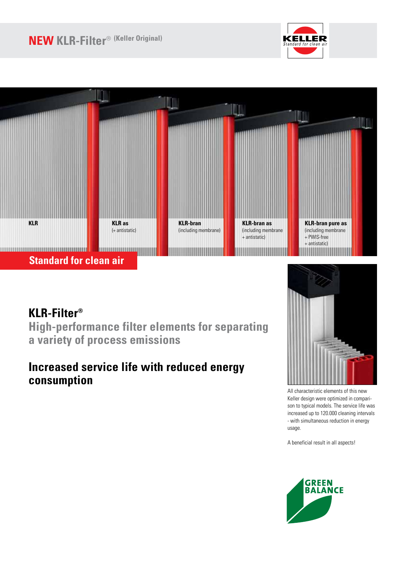# **NEW KLR-Filter**® **(Keller Original)**





# **KLR-Filter®**

**High-performance filter elements for separating a variety of process emissions**

## **Increased service life with reduced energy consumption**



All characteristic elements of this new Keller design were optimized in comparison to typical models. The service life was increased up to 120.000 cleaning intervals - with simultaneous reduction in energy usage.

A beneficial result in all aspects!

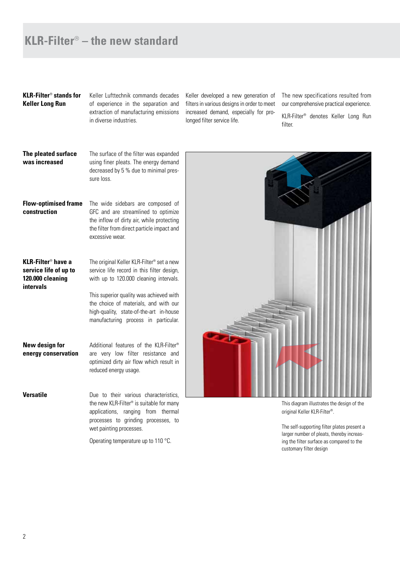### **KLR-Filter**® **– the new standard**

### **KLR-Filter**® **stands for Keller Long Run**

Keller Lufttechnik commands decades of experience in the separation and extraction of manufacturing emissions in diverse industries.

Keller developed a new generation of filters in various designs in order to meet increased demand, especially for prolonged filter service life.

The new specifications resulted from our comprehensive practical experience.

KLR-Filter® denotes Keller Long Run filter.

#### **The pleated surface was increased** The surface of the filter was expanded using finer pleats. The energy demand

decreased by 5 % due to minimal pressure loss.

### **Flow-optimised frame construction**

The wide sidebars are composed of GFC and are streamlined to optimize the inflow of dirty air, while protecting the filter from direct particle impact and excessive wear.

#### **KLR-Filter**® **have a service life of up to 120.000 cleaning intervals** The original Keller KLR-Filter® set a new

service life record in this filter design, with up to 120.000 cleaning intervals.

This superior quality was achieved with the choice of materials, and with our high-quality, state-of-the-art in-house manufacturing process in particular.

**New design for energy conservation** Additional features of the KLR-Filter<sup>®</sup> are very low filter resistance and optimized dirty air flow which result in reduced energy usage.

**Versatile Due** to their various characteristics. the new KLR-Filter® is suitable for many applications, ranging from thermal processes to grinding processes, to wet painting processes.

Operating temperature up to 110 °C.



This diagram illustrates the design of the original Keller KLR-Filter®.

The self-supporting filter plates present a larger number of pleats, thereby increasing the filter surface as compared to the customary filter design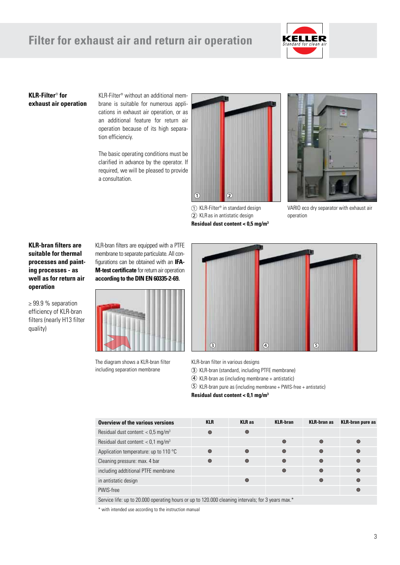## **Filter for exhaust air and return air operation**



#### **KLR-Filter**® **for exhaust air operation**

KLR-Filter® without an additional mem brane is suitable for numerous applications in exhaust air operation, or as an additional feature for return air operation because of its high separation efficienciy.

The basic operating conditions must be clarified in advance by the operator. If required, we will be pleased to provide a consultation.



 KLR-Filter® in standard design KLR as in antistatic design **Residual dust content < 0,5 mg/m<sup>3</sup>**



VARIO eco dry separator with exhaust air operation

### **KLR-bran filters are suitable for thermal processes and painting processes - as well as for return air operation**

≥ 99.9 % separation efficiency of KLR-bran filters (nearly H13 filter quality)

KLR-bran filters are equipped with a PTFE membrane to separate particulate. All configurations can be obtained with an **IFA-M-test certificate** for return air operation **according to the DIN EN 60335-2-69.**



The diagram shows a KLR-bran filter including separation membrane



KLR-bran filter in various designs

KLR-bran (standard, including PTFE membrane)

KLR-bran as (including membrane + antistatic)

KLR-bran pure as (including membrane + PWIS-free + antistatic)

**Residual dust content < 0,1 mg/m<sup>3</sup>**

| Overview of the various versions                 | <b>KLR</b> | <b>KLR</b> as | <b>KLR-bran</b> | <b>KLR-bran as</b> | <b>KLR-bran pure as</b> |
|--------------------------------------------------|------------|---------------|-----------------|--------------------|-------------------------|
| Residual dust content: $<$ 0,5 mg/m <sup>3</sup> | $\bigcirc$ |               |                 |                    |                         |
| Residual dust content: $<$ 0,1 mg/m <sup>3</sup> |            |               |                 | $\bigcirc$         |                         |
| Application temperature: up to 110 °C            | $\bigcirc$ |               | $\bigcirc$      | $\bigcirc$         | $\bigcirc$              |
| Cleaning pressure: max. 4 bar                    | $\bullet$  |               | $\bigcirc$      | $\bigcirc$         | $\bigcirc$              |
| including addtitional PTFE membrane              |            |               | $\bigcirc$      | $\bigcirc$         | $\bullet$               |
| in antistatic design                             |            |               |                 | $\bigcirc$         | $\bullet$               |
| PWIS-free                                        |            |               |                 |                    | ∩                       |

Service life: up to 20.000 operating hours or up to 120.000 cleaning intervals; for 3 years max.\*

\* with intended use according to the instruction manual